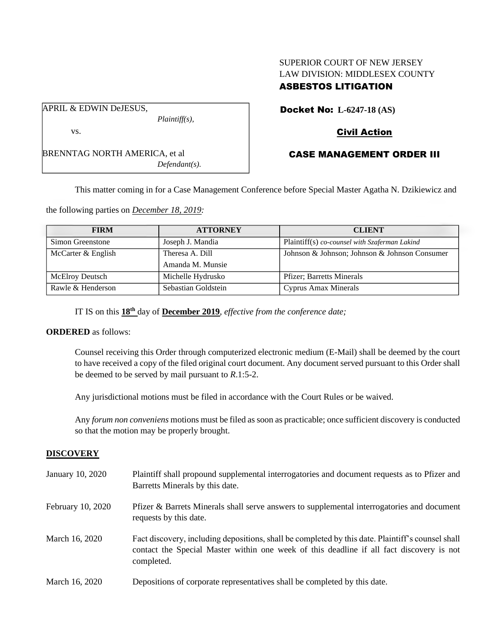# SUPERIOR COURT OF NEW JERSEY LAW DIVISION: MIDDLESEX COUNTY ASBESTOS LITIGATION

APRIL & EDWIN DeJESUS,

vs.

BRENNTAG NORTH AMERICA, et al *Defendant(s).*

*Plaintiff(s),*

Docket No: **L-6247-18 (AS)**

# Civil Action

# CASE MANAGEMENT ORDER III

This matter coming in for a Case Management Conference before Special Master Agatha N. Dzikiewicz and

the following parties on *December 18, 2019:*

| <b>FIRM</b>            | <b>ATTORNEY</b>     | <b>CLIENT</b>                                 |
|------------------------|---------------------|-----------------------------------------------|
| Simon Greenstone       | Joseph J. Mandia    | Plaintiff(s) co-counsel with Szaferman Lakind |
| McCarter & English     | Theresa A. Dill     | Johnson & Johnson; Johnson & Johnson Consumer |
|                        | Amanda M. Munsie    |                                               |
| <b>McElroy Deutsch</b> | Michelle Hydrusko   | <b>Pfizer</b> ; Barretts Minerals             |
| Rawle & Henderson      | Sebastian Goldstein | Cyprus Amax Minerals                          |

IT IS on this **18th** day of **December 2019**, *effective from the conference date;*

### **ORDERED** as follows:

Counsel receiving this Order through computerized electronic medium (E-Mail) shall be deemed by the court to have received a copy of the filed original court document. Any document served pursuant to this Order shall be deemed to be served by mail pursuant to *R*.1:5-2.

Any jurisdictional motions must be filed in accordance with the Court Rules or be waived.

Any *forum non conveniens* motions must be filed as soon as practicable; once sufficient discovery is conducted so that the motion may be properly brought.

### **DISCOVERY**

| January 10, 2020  | Plaintiff shall propound supplemental interrogatories and document requests as to Pfizer and<br>Barretts Minerals by this date.                                                                             |
|-------------------|-------------------------------------------------------------------------------------------------------------------------------------------------------------------------------------------------------------|
| February 10, 2020 | Pfizer & Barrets Minerals shall serve answers to supplemental interrogatories and document<br>requests by this date.                                                                                        |
| March 16, 2020    | Fact discovery, including depositions, shall be completed by this date. Plaintiff's counsel shall<br>contact the Special Master within one week of this deadline if all fact discovery is not<br>completed. |
| March 16, 2020    | Depositions of corporate representatives shall be completed by this date.                                                                                                                                   |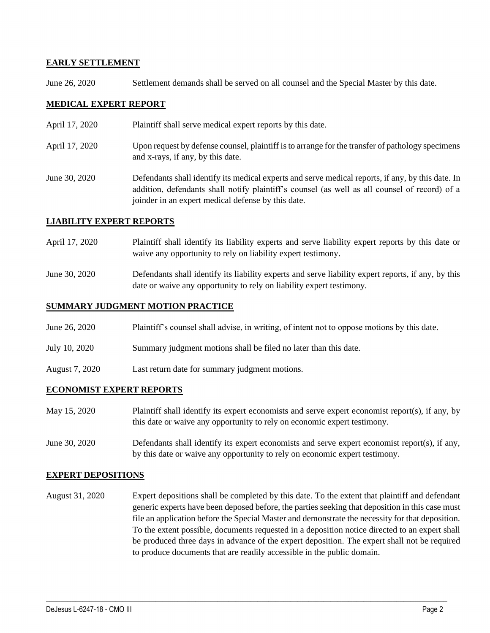## **EARLY SETTLEMENT**

June 26, 2020 Settlement demands shall be served on all counsel and the Special Master by this date.

## **MEDICAL EXPERT REPORT**

- April 17, 2020 Plaintiff shall serve medical expert reports by this date.
- April 17, 2020 Upon request by defense counsel, plaintiff is to arrange for the transfer of pathology specimens and x-rays, if any, by this date.
- June 30, 2020 Defendants shall identify its medical experts and serve medical reports, if any, by this date. In addition, defendants shall notify plaintiff's counsel (as well as all counsel of record) of a joinder in an expert medical defense by this date.

## **LIABILITY EXPERT REPORTS**

- April 17, 2020 Plaintiff shall identify its liability experts and serve liability expert reports by this date or waive any opportunity to rely on liability expert testimony.
- June 30, 2020 Defendants shall identify its liability experts and serve liability expert reports, if any, by this date or waive any opportunity to rely on liability expert testimony.

## **SUMMARY JUDGMENT MOTION PRACTICE**

- June 26, 2020 Plaintiff's counsel shall advise, in writing, of intent not to oppose motions by this date.
- July 10, 2020 Summary judgment motions shall be filed no later than this date.
- August 7, 2020 Last return date for summary judgment motions.

### **ECONOMIST EXPERT REPORTS**

- May 15, 2020 Plaintiff shall identify its expert economists and serve expert economist report(s), if any, by this date or waive any opportunity to rely on economic expert testimony.
- June 30, 2020 Defendants shall identify its expert economists and serve expert economist report(s), if any, by this date or waive any opportunity to rely on economic expert testimony.

### **EXPERT DEPOSITIONS**

August 31, 2020 Expert depositions shall be completed by this date. To the extent that plaintiff and defendant generic experts have been deposed before, the parties seeking that deposition in this case must file an application before the Special Master and demonstrate the necessity for that deposition. To the extent possible, documents requested in a deposition notice directed to an expert shall be produced three days in advance of the expert deposition. The expert shall not be required to produce documents that are readily accessible in the public domain.

 $\_$  , and the set of the set of the set of the set of the set of the set of the set of the set of the set of the set of the set of the set of the set of the set of the set of the set of the set of the set of the set of th